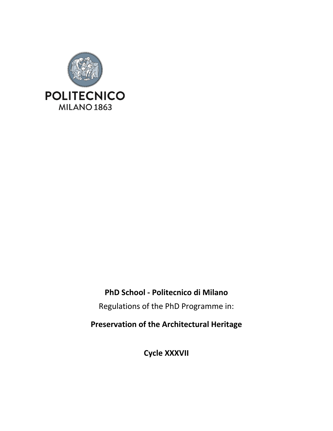

## **PhD School - Politecnico di Milano**

Regulations of the PhD Programme in:

**Preservation of the Architectural Heritage**

**Cycle XXXVII**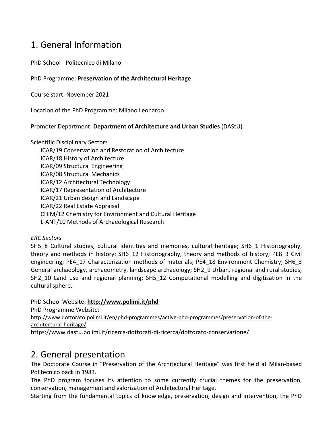## 1. General Information

PhD School - Politecnico di Milano

#### PhD Programme: **Preservation of the Architectural Heritage**

Course start: November 2021

Location of the PhD Programme: Milano Leonardo

#### Promoter Department: **Department of Architecture and Urban Studies** (DAStU)

Scientific Disciplinary Sectors ICAR/19 Conservation and Restoration of Architecture ICAR/18 History of Architecture ICAR/09 Structural Engineering ICAR/08 Structural Mechanics ICAR/12 Architectural Technology ICAR/17 Representation of Architecture ICAR/21 Urban design and Landscape ICAR/22 Real Estate Appraisal CHIM/12 Chemistry for Environment and Cultural Heritage L-ANT/10 Methods of Archaeological Research

#### *ERC Sectors*

SH5\_8 Cultural studies, cultural identities and memories, cultural heritage; SH6\_1 Historiography, theory and methods in history; SH6\_12 Historiography, theory and methods of history; PE8\_3 Civil engineering; PE4\_17 Characterization methods of materials; PE4\_18 Environment Chemistry; SH6\_3 General archaeology, archaeometry, landscape archaeology; SH2\_9 Urban, regional and rural studies; SH2 10 Land use and regional planning; SH5 12 Computational modelling and digitisation in the cultural sphere.

#### PhD School Website: **<http://www.polimi.it/phd>**

PhD Programme Website:

[http://www.dottorato.polimi.it/en/phd-programmes/active-phd-programmes/preservation-of-the](http://www.dottorato.polimi.it/en/phd-programmes/active-phd-programmes/preservation-of-the-architectural-heritage/)[architectural-heritage/](http://www.dottorato.polimi.it/en/phd-programmes/active-phd-programmes/preservation-of-the-architectural-heritage/)

https://www.dastu.polimi.it/ricerca-dottorati-di-ricerca/dottorato-conservazione/

## 2. General presentation

The Doctorate Course in "Preservation of the Architectural Heritage" was first held at Milan-based Politecnico back in 1983.

The PhD program focuses its attention to some currently crucial themes for the preservation, conservation, management and valorization of Architectural Heritage.

Starting from the fundamental topics of knowledge, preservation, design and intervention, the PhD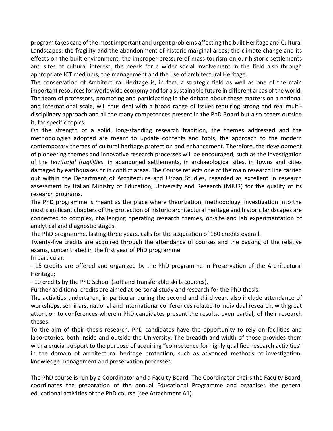program takes care of the most important and urgent problems affecting the built Heritage and Cultural Landscapes: the fragility and the abandonment of historic marginal areas; the climate change and its effects on the built environment; the improper pressure of mass tourism on our historic settlements and sites of cultural interest, the needs for a wider social involvement in the field also through appropriate ICT mediums, the management and the use of architectural Heritage.

The conservation of Architectural Heritage is, in fact, a strategic field as well as one of the main important resources for worldwide economy and for a sustainable future in different areas of the world. The team of professors, promoting and participating in the debate about these matters on a national and international scale, will thus deal with a broad range of issues requiring strong and real multidisciplinary approach and all the many competences present in the PhD Board but also others outside it, for specific topics.

On the strength of a solid, long-standing research tradition, the themes addressed and the methodologies adopted are meant to update contents and tools, the approach to the modern contemporary themes of cultural heritage protection and enhancement. Therefore, the development of pioneering themes and innovative research processes will be encouraged, such as the investigation of the *territorial fragilities*, in abandoned settlements, in archaeological sites, in towns and cities damaged by earthquakes or in conflict areas. The Course reflects one of the main research line carried out within the Department of Architecture and Urban Studies, regarded as excellent in research assessment by Italian Ministry of Education, University and Research (MIUR) for the quality of its research programs.

The PhD programme is meant as the place where theorization, methodology, investigation into the most significant chapters of the protection of historic architectural heritage and historic landscapes are connected to complex, challenging operating research themes, on-site and lab experimentation of analytical and diagnostic stages.

The PhD programme, lasting three years, calls for the acquisition of 180 credits overall.

Twenty-five credits are acquired through the attendance of courses and the passing of the relative exams, concentrated in the first year of PhD programme.

In particular:

- 15 credits are offered and organized by the PhD programme in Preservation of the Architectural Heritage;

- 10 credits by the PhD School (soft and transferable skills courses).

Further additional credits are aimed at personal study and research for the PhD thesis.

The activities undertaken, in particular during the second and third year, also include attendance of workshops, seminars, national and international conferences related to individual research, with great attention to conferences wherein PhD candidates present the results, even partial, of their research theses.

To the aim of their thesis research, PhD candidates have the opportunity to rely on facilities and laboratories, both inside and outside the University. The breadth and width of those provides them with a crucial support to the purpose of acquiring "competence for highly qualified research activities" in the domain of architectural heritage protection, such as advanced methods of investigation; knowledge management and preservation processes.

The PhD course is run by a Coordinator and a Faculty Board. The Coordinator chairs the Faculty Board, coordinates the preparation of the annual Educational Programme and organises the general educational activities of the PhD course (see Attachment A1).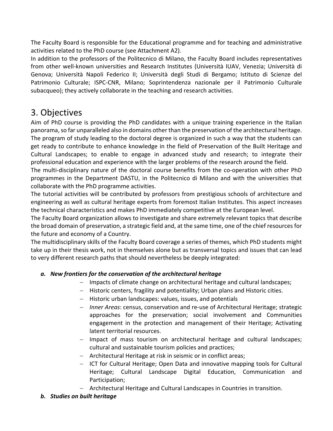The Faculty Board is responsible for the Educational programme and for teaching and administrative activities related to the PhD course (see Attachment A2).

In addition to the professors of the Politecnico di Milano, the Faculty Board includes representatives from other well-known universities and Research Institutes (Università IUAV, Venezia; Università di Genova; Università Napoli Federico II; Università degli Studi di Bergamo; Istituto di Scienze del Patrimonio Culturale; ISPC-CNR, Milano; Soprintendenza nazionale per il Patrimonio Culturale subacqueo); they actively collaborate in the teaching and research activities.

## 3. Objectives

Aim of PhD course is providing the PhD candidates with a unique training experience in the Italian panorama, so far unparalleled also in domains other than the preservation of the architectural heritage. The program of study leading to the doctoral degree is organized in such a way that the students can get ready to contribute to enhance knowledge in the field of Preservation of the Built Heritage and Cultural Landscapes; to enable to engage in advanced study and research; to integrate their professional education and experience with the larger problems of the research around the field.

The multi-disciplinary nature of the doctoral course benefits from the co-operation with other PhD programmes in the Department DASTU, in the Politecnico di Milano and with the universities that collaborate with the PhD programme activities.

The tutorial activities will be contributed by professors from prestigious schools of architecture and engineering as well as cultural heritage experts from foremost Italian Institutes. This aspect increases the technical characteristics and makes PhD immediately competitive at the European level.

The Faculty Board organization allows to investigate and share extremely relevant topics that describe the broad domain of preservation, a strategic field and, at the same time, one of the chief resources for the future and economy of a Country.

The multidisciplinary skills of the Faculty Board coverage a series of themes, which PhD students might take up in their thesis work, not in themselves alone but as transversal topics and issues that can lead to very different research paths that should nevertheless be deeply integrated:

### *a. New frontiers for the conservation of the architectural heritage*

- − Impacts of climate change on architectural heritage and cultural landscapes;
- − Historic centers, fragility and potentiality; Urban plans and Historic cities.
- − Historic urban landscapes: values, issues, and potentials
- − *Inner Areas*: census, conservation and re-use of Architectural Heritage; strategic approaches for the preservation; social involvement and Communities engagement in the protection and management of their Heritage; Activating latent territorial resources.
- − Impact of mass tourism on architectural heritage and cultural landscapes; cultural and sustainable tourism policies and practices;
- − Architectural Heritage at risk in seismic or in conflict areas;
- − ICT for Cultural Heritage; Open Data and innovative mapping tools for Cultural Heritage; Cultural Landscape Digital Education, Communication and Participation;
- − Architectural Heritage and Cultural Landscapes in Countries in transition.

## *b. Studies on built heritage*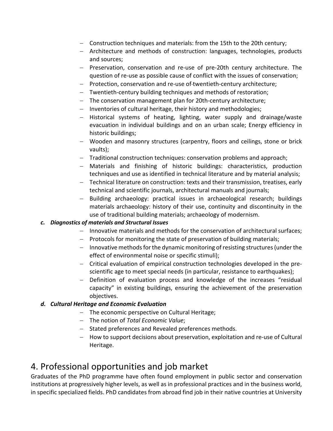- − Construction techniques and materials: from the 15th to the 20th century;
- − Architecture and methods of construction: languages, technologies, products and sources;
- − Preservation, conservation and re-use of pre-20th century architecture. The question of re-use as possible cause of conflict with the issues of conservation;
- − Protection, conservation and re-use of twentieth-century architecture;
- − Twentieth-century building techniques and methods of restoration;
- − The conservation management plan for 20th-century architecture;
- − Inventories of cultural heritage, their history and methodologies;
- − Historical systems of heating, lighting, water supply and drainage/waste evacuation in individual buildings and on an urban scale; Energy efficiency in historic buildings;
- − Wooden and masonry structures (carpentry, floors and ceilings, stone or brick vaults);
- − Traditional construction techniques: conservation problems and approach;
- − Materials and finishing of historic buildings: characteristics, production techniques and use as identified in technical literature and by material analysis;
- − Technical literature on construction: texts and their transmission, treatises, early technical and scientific journals, architectural manuals and journals;
- − Building archaeology: practical issues in archaeological research; buildings materials archaeology: history of their use, continuity and discontinuity in the use of traditional building materials; archaeology of modernism.

### *c. Diagnostics of materials and Structural Issues*

- − Innovative materials and methods for the conservation of architectural surfaces;
- − Protocols for monitoring the state of preservation of building materials;
- − Innovative methods for the dynamic monitoring of resisting structures (under the effect of environmental noise or specific stimuli);
- − Critical evaluation of empirical construction technologies developed in the prescientific age to meet special needs (in particular, resistance to earthquakes);
- − Definition of evaluation process and knowledge of the increases "residual capacity" in existing buildings, ensuring the achievement of the preservation objectives.

### *d. Cultural Heritage and Economic Evaluation*

- − The economic perspective on Cultural Heritage;
- − The notion of *Total Economic Value*;
- − Stated preferences and Revealed preferences methods.
- − How to support decisions about preservation, exploitation and re-use of Cultural Heritage.

## 4. Professional opportunities and job market

Graduates of the PhD programme have often found employment in public sector and conservation institutions at progressively higher levels, as well as in professional practices and in the business world, in specific specialized fields. PhD candidates from abroad find job in their native countries at University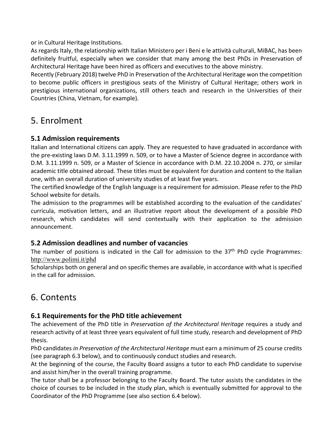or in Cultural Heritage Institutions.

As regards Italy, the relationship with Italian Ministero per i Beni e le attività culturali, MiBAC, has been definitely fruitful, especially when we consider that many among the best PhDs in Preservation of Architectural Heritage have been hired as officers and executives to the above ministry.

Recently (February 2018) twelve PhD in Preservation of the Architectural Heritage won the competition to become public officers in prestigious seats of the Ministry of Cultural Heritage; others work in prestigious international organizations, still others teach and research in the Universities of their Countries (China, Vietnam, for example).

## 5. Enrolment

## **5.1 Admission requirements**

Italian and International citizens can apply. They are requested to have graduated in accordance with the pre-existing laws D.M. 3.11.1999 n. 509, or to have a Master of Science degree in accordance with D.M. 3.11.1999 n. 509, or a Master of Science in accordance with D.M. 22.10.2004 n. 270, or similar academic title obtained abroad. These titles must be equivalent for duration and content to the Italian one, with an overall duration of university studies of at least five years.

The certified knowledge of the English language is a requirement for admission. Please refer to the PhD School website for details.

The admission to the programmes will be established according to the evaluation of the candidates' curricula, motivation letters, and an illustrative report about the development of a possible PhD research, which candidates will send contextually with their application to the admission announcement.

## **5.2 Admission deadlines and number of vacancies**

The number of positions is indicated in the Call for admission to the  $37<sup>th</sup>$  PhD cycle Programmes: <http://www.polimi.it/phd>

Scholarships both on general and on specific themes are available, in accordance with what is specified in the call for admission.

## 6. Contents

## **6.1 Requirements for the PhD title achievement**

The achievement of the PhD title in *Preservation of the Architectural Heritage* requires a study and research activity of at least three years equivalent of full time study, research and development of PhD thesis.

PhD candidates *in Preservation of the Architectural Heritage* must earn a minimum of 25 course credits (see paragraph 6.3 below), and to continuously conduct studies and research.

At the beginning of the course, the Faculty Board assigns a tutor to each PhD candidate to supervise and assist him/her in the overall training programme.

The tutor shall be a professor belonging to the Faculty Board. The tutor assists the candidates in the choice of courses to be included in the study plan, which is eventually submitted for approval to the Coordinator of the PhD Programme (see also section 6.4 below).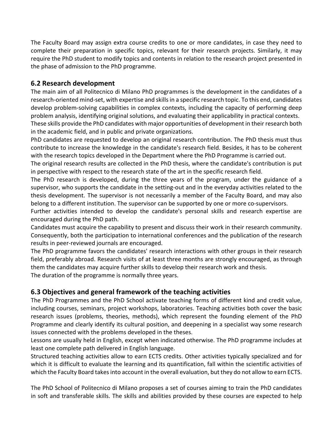The Faculty Board may assign extra course credits to one or more candidates, in case they need to complete their preparation in specific topics, relevant for their research projects. Similarly, it may require the PhD student to modify topics and contents in relation to the research project presented in the phase of admission to the PhD programme.

### **6.2 Research development**

The main aim of all Politecnico di Milano PhD programmes is the development in the candidates of a research-oriented mind-set, with expertise and skillsin a specific research topic. To this end, candidates develop problem-solving capabilities in complex contexts, including the capacity of performing deep problem analysis, identifying original solutions, and evaluating their applicability in practical contexts. These skills provide the PhD candidates with major opportunities of development in their research both in the academic field, and in public and private organizations.

PhD candidates are requested to develop an original research contribution. The PhD thesis must thus contribute to increase the knowledge in the candidate's research field. Besides, it has to be coherent with the research topics developed in the Department where the PhD Programme is carried out.

The original research results are collected in the PhD thesis, where the candidate's contribution is put in perspective with respect to the research state of the art in the specific research field.

The PhD research is developed, during the three years of the program, under the guidance of a supervisor, who supports the candidate in the setting-out and in the everyday activities related to the thesis development. The supervisor is not necessarily a member of the Faculty Board, and may also belong to a different institution. The supervisor can be supported by one or more co-supervisors.

Further activities intended to develop the candidate's personal skills and research expertise are encouraged during the PhD path.

Candidates must acquire the capability to present and discuss their work in their research community. Consequently, both the participation to international conferences and the publication of the research results in peer-reviewed journals are encouraged.

The PhD programme favors the candidates' research interactions with other groups in their research field, preferably abroad. Research visits of at least three months are strongly encouraged, as through them the candidates may acquire further skills to develop their research work and thesis.

The duration of the programme is normally three years.

## **6.3 Objectives and general framework of the teaching activities**

The PhD Programmes and the PhD School activate teaching forms of different kind and credit value, including courses, seminars, project workshops, laboratories. Teaching activities both cover the basic research issues (problems, theories, methods), which represent the founding element of the PhD Programme and clearly identify its cultural position, and deepening in a specialist way some research issues connected with the problems developed in the theses.

Lessons are usually held in English, except when indicated otherwise. The PhD programme includes at least one complete path delivered in English language.

Structured teaching activities allow to earn ECTS credits. Other activities typically specialized and for which it is difficult to evaluate the learning and its quantification, fall within the scientific activities of which the Faculty Board takes into account in the overall evaluation, but they do not allow to earn ECTS.

The PhD School of Politecnico di Milano proposes a set of courses aiming to train the PhD candidates in soft and transferable skills. The skills and abilities provided by these courses are expected to help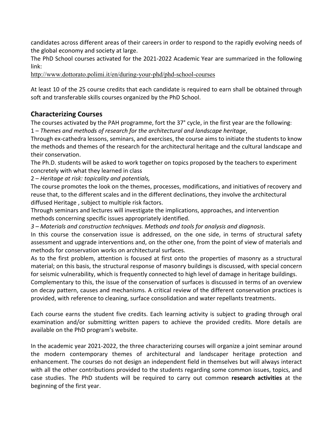candidates across different areas of their careers in order to respond to the rapidly evolving needs of the global economy and society at large.

The PhD School courses activated for the 2021-2022 Academic Year are summarized in the following link:

<http://www.dottorato.polimi.it/en/during-your-phd/phd-school-courses>

At least 10 of the 25 course credits that each candidate is required to earn shall be obtained through soft and transferable skills courses organized by the PhD School.

### **Characterizing Courses**

The courses activated by the PAH programme, fort the 37° cycle, in the first year are the following: 1 – *Themes and methods of research for the architectural and landscape heritage*,

Through ex-cathedra lessons, seminars, and exercises, the course aims to initiate the students to know the methods and themes of the research for the architectural heritage and the cultural landscape and their conservation.

The Ph.D. students will be asked to work together on topics proposed by the teachers to experiment concretely with what they learned in class

2 – *Heritage at risk: topicality and potentials,*

The course promotes the look on the themes, processes, modifications, and initiatives of recovery and reuse that, to the different scales and in the different declinations, they involve the architectural diffused Heritage , subject to multiple risk factors.

Through seminars and lectures will investigate the implications, approaches, and intervention methods concerning specific issues appropriately identified.

*3 – Materials and construction techniques. Methods and tools for analysis and diagnosis*.

In this course the conservation issue is addressed, on the one side, in terms of structural safety assessment and upgrade interventions and, on the other one, from the point of view of materials and methods for conservation works on architectural surfaces.

As to the first problem, attention is focused at first onto the properties of masonry as a structural material; on this basis, the structural response of masonry buildings is discussed, with special concern for seismic vulnerability, which is frequently connected to high level of damage in heritage buildings.

Complementary to this, the issue of the conservation of surfaces is discussed in terms of an overview on decay pattern, causes and mechanisms. A critical review of the different conservation practices is provided, with reference to cleaning, surface consolidation and water repellants treatments.

Each course earns the student five credits. Each learning activity is subject to grading through oral examination and/or submitting written papers to achieve the provided credits. More details are available on the PhD program's website.

In the academic year 2021-2022, the three characterizing courses will organize a joint seminar around the modern contemporary themes of architectural and landscaper heritage protection and enhancement. The courses do not design an independent field in themselves but will always interact with all the other contributions provided to the students regarding some common issues, topics, and case studies. The PhD students will be required to carry out common **research activities** at the beginning of the first year.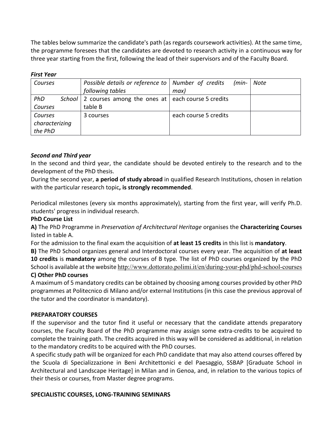The tables below summarize the candidate's path (as regards coursework activities). At the same time, the programme foresees that the candidates are devoted to research activity in a continuous way for three year starting from the first, following the lead of their supervisors and of the Faculty Board.

#### *First Year*

| Courses        | Possible details or reference to   Number of credits           | $(min-$               | Note |
|----------------|----------------------------------------------------------------|-----------------------|------|
|                | following tables                                               | max)                  |      |
| PhD            | School   2 courses among the ones at $ $ each course 5 credits |                       |      |
| Courses        | table B                                                        |                       |      |
| Courses        | 3 courses                                                      | each course 5 credits |      |
| characterizing |                                                                |                       |      |
| the PhD        |                                                                |                       |      |

#### *Second and Third year*

In the second and third year, the candidate should be devoted entirely to the research and to the development of the PhD thesis.

During the second year, **a period of study abroad** in qualified Research Institutions, chosen in relation with the particular research topic**, is strongly recommended**.

Periodical milestones (every six months approximately), starting from the first year, will verify Ph.D. students' progress in individual research.

#### **PhD Course List**

**A)** The PhD Programme in *Preservation of Architectural Heritage* organises the **Characterizing Courses**  listed in table A.

For the admission to the final exam the acquisition of **at least 15 credits** in this list is **mandatory**.

**B)** The PhD School organizes general and Interdoctoral courses every year. The acquisition of **at least 10 credits** is **mandatory** among the courses of B type*.* The list of PhD courses organized by the PhD School is available at the website <http://www.dottorato.polimi.it/en/during-your-phd/phd-school-courses>

#### **C) Other PhD courses**

A maximum of 5 mandatory credits can be obtained by choosing among courses provided by other PhD programmes at Politecnico di Milano and/or external Institutions (in this case the previous approval of the tutor and the coordinator is mandatory).

#### **PREPARATORY COURSES**

If the supervisor and the tutor find it useful or necessary that the candidate attends preparatory courses, the Faculty Board of the PhD programme may assign some extra-credits to be acquired to complete the training path. The credits acquired in this way will be considered as additional, in relation to the mandatory credits to be acquired with the PhD courses.

A specific study path will be organized for each PhD candidate that may also attend courses offered by the Scuola di Specializzazione in Beni Architettonici e del Paesaggio, SSBAP [Graduate School in Architectural and Landscape Heritage] in Milan and in Genoa, and, in relation to the various topics of their thesis or courses, from Master degree programs.

#### **SPECIALISTIC COURSES, LONG-TRAINING SEMINARS**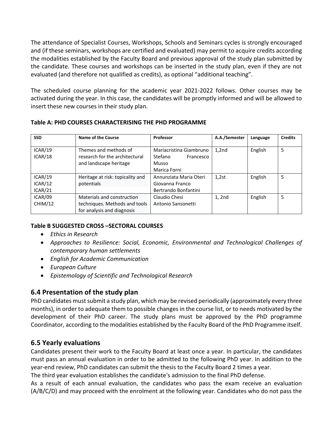The attendance of Specialist Courses, Workshops, Schools and Seminars cycles is strongly encouraged and (if these seminars, workshops are certified and evaluated) may permit to acquire credits according the modalities established by the Faculty Board and previous approval of the study plan submitted by the candidate. These courses and workshops can be inserted in the study plan, even if they are not evaluated (and therefore not qualified as credits), as optional "additional teaching".

The scheduled course planning for the academic year 2021-2022 follows. Other courses may be activated during the year. In this case, the candidates will be promptly informed and will be allowed to insert these new courses in their study plan.

| Table A: PHD COURSES CHARACTERISING THE PHD PROGRAMME |
|-------------------------------------------------------|
|-------------------------------------------------------|

| <b>SSD</b>                    | Name of the Course                                                                        | Professor                                                                | A.A./Semester | Language | <b>Credits</b> |
|-------------------------------|-------------------------------------------------------------------------------------------|--------------------------------------------------------------------------|---------------|----------|----------------|
| ICAR/19<br>ICAR/18            | Themes and methods of<br>research for the architectural<br>and landscape heritage         | Mariacristina Giambruno<br>Stefano<br>Francesco<br>Musso<br>Marica Forni | 1,2nd         | English  | 5              |
| ICAR/19<br>ICAR/12<br>ICAR/21 | Heritage at risk: topicality and<br>potentials                                            | Annunziata Maria Oteri<br>Giovanna Franco<br>Bertrando Bonfantini        | 1,2st         | English  | 5              |
| ICAR/09<br>CHIM/12            | Materials and construction<br>techniques. Methods and tools<br>for analysis and diagnosis | Claudio Chesi<br>Antonio Sansonetti                                      | 1, 2nd        | English  | 5              |

#### **Table B SUGGESTED CROSS –SECTORAL COURSES**

- *Ethics in Research*
- *Approaches to Resilience: Social, Economic, Environmental and Technological Challenges of contemporary human settlements*
- *English for Academic Communication*
- *European Culture*
- *Epistemology of Scientific and Technological Research*

## **6.4 Presentation of the study plan**

PhD candidates must submit a study plan, which may be revised periodically (approximately every three months), in order to adequate them to possible changes in the course list, or to needs motivated by the development of their PhD career. The study plans must be approved by the PhD programme Coordinator, according to the modalities established by the Faculty Board of the PhD Programme itself.

## **6.5 Yearly evaluations**

Candidates present their work to the Faculty Board at least once a year. In particular, the candidates must pass an annual evaluation in order to be admitted to the following PhD year. In addition to the year-end review, PhD candidates can submit the thesis to the Faculty Board 2 times a year.

The third year evaluation establishes the candidate's admission to the final PhD defense.

As a result of each annual evaluation, the candidates who pass the exam receive an evaluation (A/B/C/D) and may proceed with the enrolment at the following year. Candidates who do not pass the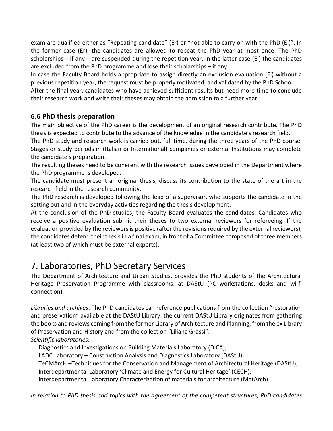exam are qualified either as "Repeating candidate" (Er) or "not able to carry on with the PhD (Ei)". In the former case (Er), the candidates are allowed to repeat the PhD year at most once. The PhD scholarships – if any – are suspended during the repetition year. In the latter case (Ei) the candidates are excluded from the PhD programme and lose their scholarships – if any.

In case the Faculty Board holds appropriate to assign directly an exclusion evaluation (Ei) without a previous repetition year, the request must be properly motivated, and validated by the PhD School.

After the final year, candidates who have achieved sufficient results but need more time to conclude their research work and write their theses may obtain the admission to a further year.

## **6.6 PhD thesis preparation**

The main objective of the PhD career is the development of an original research contribute. The PhD thesis is expected to contribute to the advance of the knowledge in the candidate's research field.

The PhD study and research work is carried out, full time, during the three years of the PhD course. Stages or study periods in (Italian or International) companies or external Institutions may complete the candidate's preparation.

The resulting theses need to be coherent with the research issues developed in the Department where the PhD programme is developed.

The candidate must present an original thesis, discuss its contribution to the state of the art in the research field in the research community.

The PhD research is developed following the lead of a supervisor, who supports the candidate in the setting out and in the everyday activities regarding the thesis development.

At the conclusion of the PhD studies, the Faculty Board evaluates the candidates. Candidates who receive a positive evaluation submit their theses to two external reviewers for refereeing. If the evaluation provided by the reviewers is positive (after the revisions required by the external reviewers), the candidates defend their thesis in a final exam, in front of a Committee composed of three members (at least two of which must be external experts).

## 7. Laboratories, PhD Secretary Services

The Department of Architecture and Urban Studies, provides the PhD students of the Architectural Heritage Preservation Programme with classrooms, at DAStU (PC workstations, desks and wi-fi connection).

*Libraries and archives*: The PhD candidates can reference publications from the collection "restoration and preservation" available at the DAStU Library: the current DAStU Library originates from gathering the books and reviews coming from the former Library of Architecture and Planning, from the ex Library of Preservation and History and from the collection "Liliana Grassi". *Scientific laboratories*:

Diagnostics and Investigations on Building Materials Laboratory (DICA); LADC Laboratory – Construction Analysis and Diagnostics Laboratory (DAStU); TeCMArcH –Techniques for the Conservation and Management of Architectural Heritage (DAStU); Interdepartmental Laboratory 'Climate and Energy for Cultural Heritage' (CECH); Interdepartmental Laboratory Characterization of materials for architecture (MatArch)

*In relation to PhD thesis and topics with the agreement of the competent structures, PhD candidates*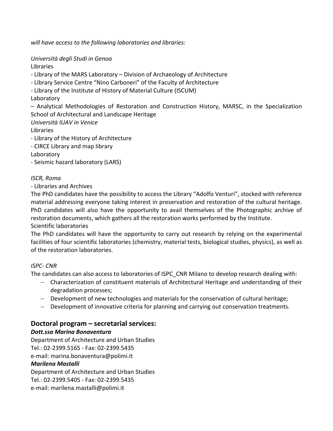*will have access to the following laboratories and libraries:* 

*Università degli Studi in Genoa* Libraries

- Library of the MARS Laboratory – Division of Archaeology of Architecture

- Library Service Centre "Nino Carboneri" of the Faculty of Architecture

- Library of the Institute of History of Material Culture (ISCUM)

Laboratory

– Analytical Methodologies of Restoration and Construction History, MARSC, in the Specialization School of Architectural and Landscape Heritage

*Università IUAV in Venice*

Libraries

- Library of the History of Architecture

- CIRCE Library and map library

Laboratory

- Seismic hazard laboratory (LARS)

#### *ISCR, Roma*

- Libraries and Archives

The PhD candidates have the possibility to access the Library "Adolfo Venturi", stocked with reference material addressing everyone taking interest in preservation and restoration of the cultural heritage. PhD candidates will also have the opportunity to avail themselves of the Photographic archive of restoration documents, which gathers all the restoration works performed by the Institute. Scientific laboratories

The PhD candidates will have the opportunity to carry out research by relying on the experimental facilities of four scientific laboratories (chemistry, material tests, biological studies, physics), as well as of the restoration laboratories.

#### *ISPC- CNR*

The candidates can also access to laboratories of ISPC\_CNR Milano to develop research dealing with:

- − Characterization of constituent materials of Architectural Heritage and understanding of their degradation processes;
- − Development of new technologies and materials for the conservation of cultural heritage;
- − Development of innovative criteria for planning and carrying out conservation treatments.

## **Doctoral program – secretarial services:**

### *Dott.ssa Marina Bonaventura*

Department of Architecture and Urban Studies Tel.: 02-2399.5165 - Fax: 02-2399.5435 e-mail: marina.bonaventura@polimi.it

#### *Marilena Mastalli*

Department of Architecture and Urban Studies Tel.: 02-2399.5405 - Fax: 02-2399.5435 e-mail: marilena.mastalli@polimi.it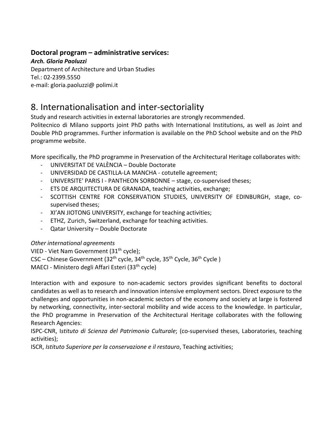### **Doctoral program – administrative services:**

*Arch. Gloria Paoluzzi*

Department of Architecture and Urban Studies Tel.: 02-2399.5550 e-mail: gloria.paoluzzi@ polimi.it

## 8. Internationalisation and inter-sectoriality

Study and research activities in external laboratories are strongly recommended.

Politecnico di Milano supports joint PhD paths with International Institutions, as well as Joint and Double PhD programmes. Further information is available on the PhD School website and on the PhD programme website.

More specifically, the PhD programme in Preservation of the Architectural Heritage collaborates with:

- UNIVERSITAT DE VALÈNCIA Double Doctorate
- UNIVERSIDAD DE CASTILLA-LA MANCHA cotutelle agreement;
- UNIVERSITE' PARIS I PANTHEON SORBONNE stage, co-supervised theses;
- ETS DE ARQUITECTURA DE GRANADA, teaching activities, exchange;
- SCOTTISH CENTRE FOR CONSERVATION STUDIES, UNIVERSITY OF EDINBURGH, stage, cosupervised theses;
- XI'AN JIOTONG UNIVERSITY, exchange for teaching activities;
- ETHZ, Zurich, Switzerland, exchange for teaching activities.
- Qatar University Double Doctorate

#### *Other international agreements*

VIED - Viet Nam Government (31<sup>th</sup> cycle); CSC – Chinese Government (32<sup>th</sup> cycle, 34<sup>th</sup> cycle, 35<sup>th</sup> Cycle, 36<sup>th</sup> Cycle)

MAECI - Ministero degli Affari Esteri (33<sup>th</sup> cycle)

Interaction with and exposure to non-academic sectors provides significant benefits to doctoral candidates as well as to research and innovation intensive employment sectors. Direct exposure to the challenges and opportunities in non-academic sectors of the economy and society at large is fostered by networking, connectivity, inter-sectoral mobility and wide access to the knowledge. In particular, the PhD programme in Preservation of the Architectural Heritage collaborates with the following Research Agencies:

ISPC-CNR, I*stituto di Scienza del Patrimonio Culturale*; (co-supervised theses, Laboratories, teaching activities);

ISCR, *Istituto Superiore per la conservazione e il restauro*, Teaching activities;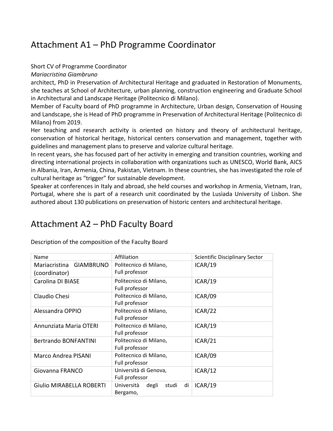## Attachment A1 – PhD Programme Coordinator

#### Short CV of Programme Coordinator

*Mariacristina Giambruno*

architect, PhD in Preservation of Architectural Heritage and graduated in Restoration of Monuments, she teaches at School of Architecture, urban planning, construction engineering and Graduate School in Architectural and Landscape Heritage (Politecnico di Milano).

Member of Faculty board of PhD programme in Architecture, Urban design, Conservation of Housing and Landscape, she is Head of PhD programme in Preservation of Architectural Heritage (Politecnico di Milano) from 2019.

Her teaching and research activity is oriented on history and theory of architectural heritage, conservation of historical heritage, historical centers conservation and management, together with guidelines and management plans to preserve and valorize cultural heritage.

In recent years, she has focused part of her activity in emerging and transition countries, working and directing international projects in collaboration with organizations such as UNESCO, World Bank, AICS in Albania, Iran, Armenia, China, Pakistan, Vietnam. In these countries, she has investigated the role of cultural heritage as "trigger" for sustainable development.

Speaker at conferences in Italy and abroad, she held courses and workshop in Armenia, Vietnam, Iran, Portugal, where she is part of a research unit coordinated by the Lusìada University of Lisbon. She authored about 130 publications on preservation of historic centers and architectural heritage.

## Attachment A2 – PhD Faculty Board

| Name                        | Affiliation                        | Scientific Disciplinary Sector |
|-----------------------------|------------------------------------|--------------------------------|
| Mariacristina GIAMBRUNO     | Politecnico di Milano,             | ICAR/19                        |
| (coordinator)               | Full professor                     |                                |
| Carolina DI BIASE           | Politecnico di Milano,             | ICAR/19                        |
|                             | Full professor                     |                                |
| Claudio Chesi               | Politecnico di Milano,             | ICAR/09                        |
|                             | Full professor                     |                                |
| Alessandra OPPIO            | Politecnico di Milano,             | ICAR/22                        |
|                             | Full professor                     |                                |
| Annunziata Maria OTERI      | Politecnico di Milano,             | ICAR/19                        |
|                             | Full professor                     |                                |
| <b>Bertrando BONFANTINI</b> | Politecnico di Milano,             | ICAR/21                        |
|                             | Full professor                     |                                |
| <b>Marco Andrea PISANI</b>  | Politecnico di Milano,             | ICAR/09                        |
|                             | Full professor                     |                                |
| Giovanna FRANCO             | Università di Genova,              | ICAR/12                        |
|                             | Full professor                     |                                |
| Giulio MIRABELLA ROBERTI    | Università<br>di<br>degli<br>studi | ICAR/19                        |
|                             | Bergamo,                           |                                |

Description of the composition of the Faculty Board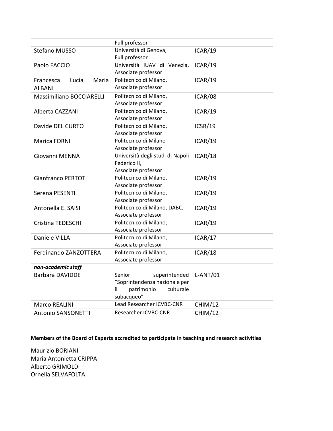|                                              | Full professor                                                                                           |                |
|----------------------------------------------|----------------------------------------------------------------------------------------------------------|----------------|
| Stefano MUSSO                                | Università di Genova,<br>Full professor                                                                  | ICAR/19        |
| Paolo FACCIO                                 | Università IUAV di Venezia,<br>Associate professor                                                       | ICAR/19        |
| Maria<br>Francesca<br>Lucia<br><b>ALBANI</b> | Politecnico di Milano,<br>Associate professor                                                            | ICAR/19        |
| <b>Massimiliano BOCCIARELLI</b>              | Politecnico di Milano,<br>Associate professor                                                            | ICAR/08        |
| Alberta CAZZANI                              | Politecnico di Milano,<br>Associate professor                                                            | ICAR/19        |
| Davide DEL CURTO                             | Politecnico di Milano,<br>Associate professor                                                            | ICSR/19        |
| Marica FORNI                                 | Politecnico di Milano<br>Associate professor                                                             | ICAR/19        |
| Giovanni MENNA                               | Università degli studi di Napoli<br>Federico II,<br>Associate professor                                  | ICAR/18        |
| <b>Gianfranco PERTOT</b>                     | Politecnico di Milano,<br>Associate professor                                                            | ICAR/19        |
| Serena PESENTI                               | Politecnico di Milano,<br>Associate professor                                                            | ICAR/19        |
| Antonella E. SAISI                           | Politecnico di Milano, DABC,<br>Associate professor                                                      | ICAR/19        |
| Cristina TEDESCHI                            | Politecnico di Milano,<br>Associate professor                                                            | ICAR/19        |
| Daniele VILLA                                | Politecnico di Milano,<br>Associate professor                                                            | ICAR/17        |
| Ferdinando ZANZOTTERA                        | Politecnico di Milano,<br>Associate professor                                                            | ICAR/18        |
| non-academic staff                           |                                                                                                          |                |
| <b>Barbara DAVIDDE</b>                       | Senior<br>superintended<br>"Soprintendenza nazionale per<br>culturale<br>il.<br>patrimonio<br>subacqueo" | $L-ANT/01$     |
| <b>Marco REALINI</b>                         | Lead Researcher ICVBC-CNR                                                                                | CHIM/12        |
| <b>Antonio SANSONETTI</b>                    | Researcher ICVBC-CNR                                                                                     | <b>CHIM/12</b> |

**Members of the Board of Experts accredited to participate in teaching and research activities**

Maurizio BORIANI Maria Antonietta CRIPPA Alberto GRIMOLDI Ornella SELVAFOLTA